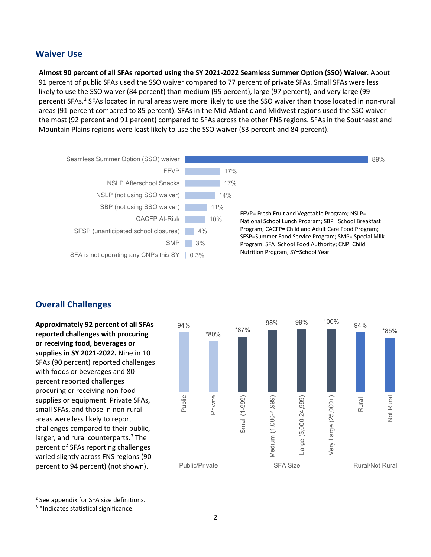## **Waiver Use**

**Almost 90 percent of all SFAs reported using the SY 2021-2022 Seamless Summer Option (SSO) Waiver**. About 91 percent of public SFAs used the SSO waiver compared to 77 percent of private SFAs. Small SFAs were less likely to use the SSO waiver (84 percent) than medium (95 percent), large (97 percent), and very large (99 percent) SFAs.<sup>[2](#page-1-0)</sup> SFAs located in rural areas were more likely to use the SSO waiver than those located in non-rural areas (91 percent compared to 85 percent). SFAs in the Mid-Atlantic and Midwest regions used the SSO waiver the most (92 percent and 91 percent) compared to SFAs across the other FNS regions. SFAs in the Southeast and Mountain Plains regions were least likely to use the SSO waiver (83 percent and 84 percent).



## **Overall Challenges**

**Approximately 92 percent of all SFAs reported challenges with procuring or receiving food, beverages or supplies in SY 2021-2022.** Nine in 10 SFAs (90 percent) reported challenges with foods or beverages and 80 percent reported challenges procuring or receiving non-food supplies or equipment. Private SFAs, small SFAs, and those in non-rural areas were less likely to report challenges compared to their public, larger, and rural counterparts. $3$  The percent of SFAs reporting challenges varied slightly across FNS regions (90 percent to 94 percent) (not shown).



<span id="page-1-1"></span><span id="page-1-0"></span><sup>2</sup> See appendix for SFA size definitions.

 $\overline{a}$ 

<sup>&</sup>lt;sup>3</sup> \*Indicates statistical significance.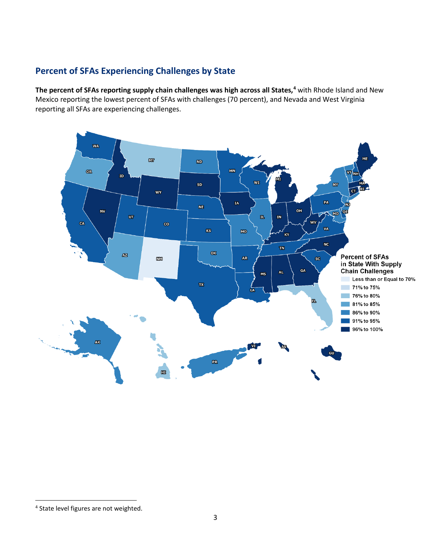## **Percent of SFAs Experiencing Challenges by State**

**The percent of SFAs reporting supply chain challenges was high across all States, [4](#page-2-0)** with Rhode Island and New Mexico reporting the lowest percent of SFAs with challenges (70 percent), and Nevada and West Virginia reporting all SFAs are experiencing challenges.

 $\overline{a}$ 

<span id="page-2-0"></span><sup>&</sup>lt;sup>4</sup> State level figures are not weighted.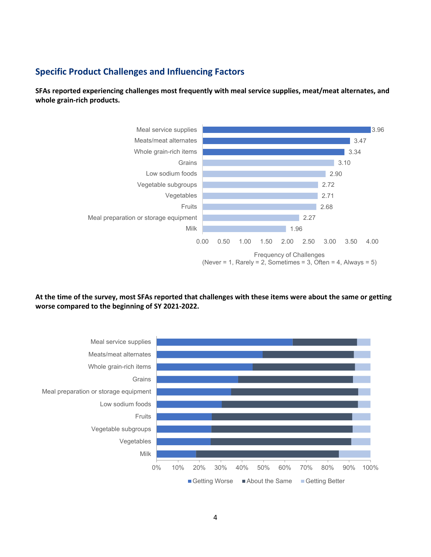## **Specific Product Challenges and Influencing Factors**

**SFAs reported experiencing challenges most frequently with meal service supplies, meat/meat alternates, and whole grain-rich products.**



**At the time of the survey, most SFAs reported that challenges with these items were about the same or getting worse compared to the beginning of SY 2021-2022.** 

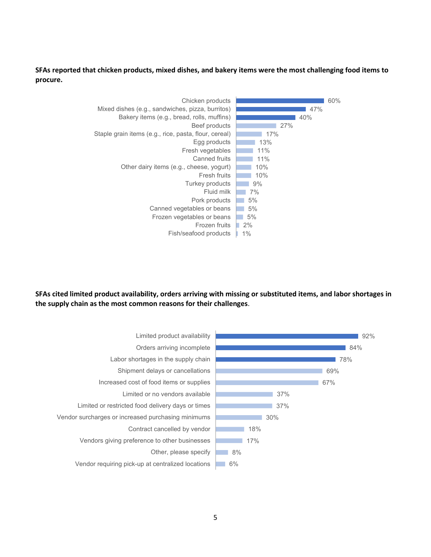**SFAs reported that chicken products, mixed dishes, and bakery items were the most challenging food items to procure.** 



**SFAs cited limited product availability, orders arriving with missing or substituted items, and labor shortages in the supply chain as the most common reasons for their challenges**.